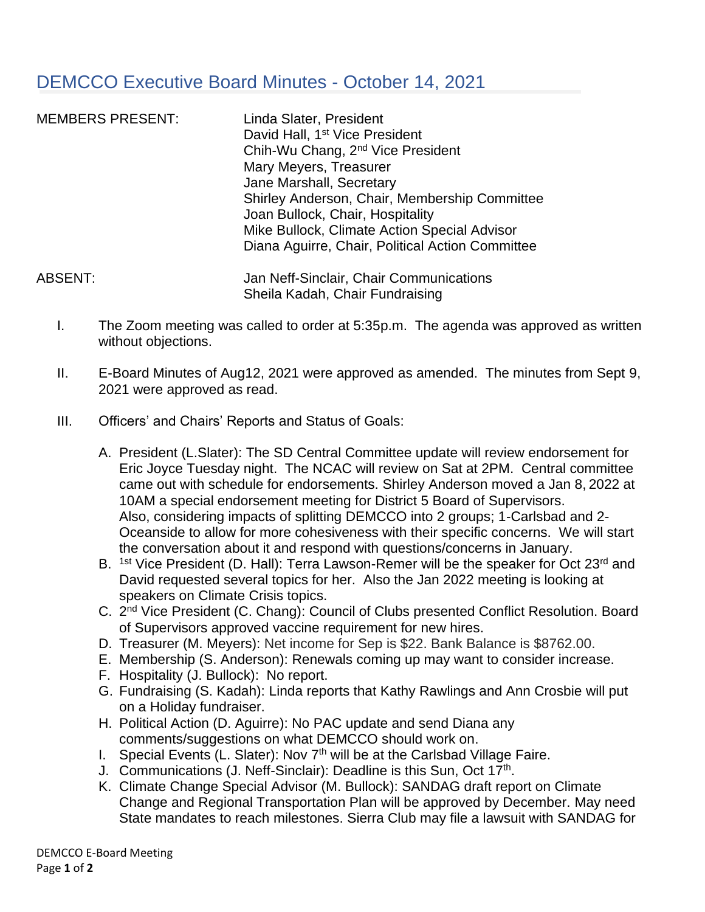## DEMCCO Executive Board Minutes - October 14, 2021

MEMBERS PRESENT: Linda Slater, President David Hall, 1<sup>st</sup> Vice President Chih-Wu Chang, 2nd Vice President Mary Meyers, Treasurer Jane Marshall, Secretary Shirley Anderson, Chair, Membership Committee Joan Bullock, Chair, Hospitality Mike Bullock, Climate Action Special Advisor Diana Aguirre, Chair, Political Action Committee

ABSENT: Jan Neff-Sinclair, Chair Communications Sheila Kadah, Chair Fundraising

- I. The Zoom meeting was called to order at 5:35p.m. The agenda was approved as written without objections.
- II. E-Board Minutes of Aug12, 2021 were approved as amended. The minutes from Sept 9, 2021 were approved as read.
- III. Officers' and Chairs' Reports and Status of Goals:
	- A. President (L.Slater): The SD Central Committee update will review endorsement for Eric Joyce Tuesday night. The NCAC will review on Sat at 2PM. Central committee came out with schedule for endorsements. Shirley Anderson moved a Jan 8, 2022 at 10AM a special endorsement meeting for District 5 Board of Supervisors. Also, considering impacts of splitting DEMCCO into 2 groups; 1-Carlsbad and 2- Oceanside to allow for more cohesiveness with their specific concerns. We will start the conversation about it and respond with questions/concerns in January.
	- B. <sup>1st</sup> Vice President (D. Hall): Terra Lawson-Remer will be the speaker for Oct 23<sup>rd</sup> and David requested several topics for her. Also the Jan 2022 meeting is looking at speakers on Climate Crisis topics.
	- C. 2<sup>nd</sup> Vice President (C. Chang): Council of Clubs presented Conflict Resolution. Board of Supervisors approved vaccine requirement for new hires.
	- D. Treasurer (M. Meyers): Net income for Sep is \$22. Bank Balance is \$8762.00.
	- E. Membership (S. Anderson): Renewals coming up may want to consider increase.
	- F. Hospitality (J. Bullock): No report.
	- G. Fundraising (S. Kadah): Linda reports that Kathy Rawlings and Ann Crosbie will put on a Holiday fundraiser.
	- H. Political Action (D. Aguirre): No PAC update and send Diana any comments/suggestions on what DEMCCO should work on.
	- I. Special Events (L. Slater): Nov  $7<sup>th</sup>$  will be at the Carlsbad Village Faire.
	- J. Communications (J. Neff-Sinclair): Deadline is this Sun, Oct 17<sup>th</sup>.
	- K. Climate Change Special Advisor (M. Bullock): SANDAG draft report on Climate Change and Regional Transportation Plan will be approved by December. May need State mandates to reach milestones. Sierra Club may file a lawsuit with SANDAG for